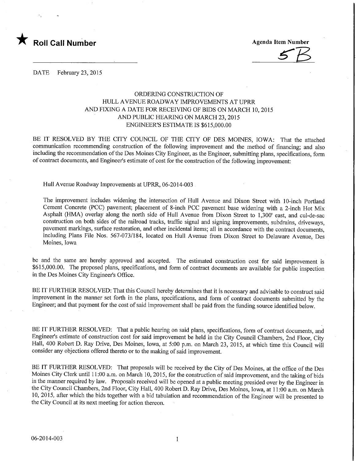

 $\mathcal{L}$ 

DATE February 23, 2015

## ORDERING CONSTRUCTION OF HULL AVENUE ROADWAY IMPROVEMENTS AT UPRR AND FIXING A DATE FOR RECEIVING OF BIDS ON MARCH 10,2015 AND PUBLIC HEARING ON MARCH 23,2015 ENGINEER'S ESTIMATE IS \$615,000.00

BE IT RESOLVED BY THE CITY COUNCIL OF THE CITY OF DES MOINES, IOWA: That the attached communication recommending construction of the following improvement and the method of financing; and also including the recommendation of the Des Moines City Engineer, as the Engineer, submitting plans, specifications, form of contract documents, and Engineer's estimate of cost for the construction of the following improvement:

Hull Avenue Roadway Improvements at UPRR, 06-2014-003

The improvement includes widening the intersection of Hull Avenue and Dixon Street with 10-inch Portland Cement Concrete (PCC) pavement; placement of 8-inch PCC pavement base widening with a 2-inch Hot Mix Asphalt (HMA) overlay along the north side of Hull Avenue from Dixon Street to 1,300' east, and cul-de-sac construction on both sides of the railroad tracks, traffic signal and signing improvements, subdrains, driveways, pavement markings, surface restoration, and other incidental items; all in accordance with the contract documents, including Plans File Nos. 567-073/184, located on Hull Avenue from Dixon Street to Delaware Avenue, Des Moines, Iowa

be and the same are hereby approved and accepted. The estimated construction cost for said improvement is \$615,000.00. The proposed plans, specifications, and form of contract documents are available for public inspection in the Des Moines City Engineer's Office.

BE IT FURTHER RESOLVED: That this Council hereby determines that it is necessary and advisable to construct said improvement in the manner set forth in the plans, specifications, and form of contract documents submitted by the Engineer; and that payment for the cost of said improvement shall be paid from the funding source identified below.

BE IT FURTHER RESOLVED: That a public hearing on said plans, specifications, form of contract documents, and Engineer's estimate of construction cost for said improvement be held in the City Council Chambers, 2nd Floor, City Hall, 400 Robert D. Ray Drive, Des Moines, Iowa, at 5:00 p.m. on March 23, 2015, at which time this Council will consider any objections offered thereto or to the making of said improvement.

BE IT FURTHER RESOLVED: That proposals will be received by the City of Des Moines, at the office of the Des Moines City Clerk until 11:00 a.m. on March 10, 2015, for the construction of said improvement, and the taking of bids in the manner required by law. Proposals received will be opened at a public meeting presided over by the Engineer in the City Council Chambers, 2nd Floor, City Hall, 400 Robert D. Ray Drive, Des Moines, Iowa, at 11:00 a.m. on March 10, 2015, after which the bids together with a bid tabulation and recommendation of the Engineer will be presented to the City Council at its next meeting for action thereon.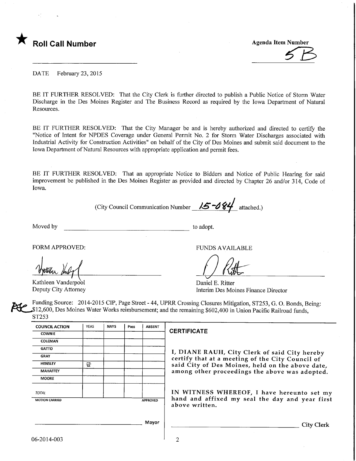

DATE February 23, 2015

BE IT FURTHER RESOLVED: That the City Clerk is further directed to publish a Public Notice of Storm Water Discharge in the Des Moines Register and The Business Record as required by the Iowa Department of Natural Resources.

BE IT FURTHER RESOLVED: That the City Manager be and is hereby authorized and directed to certify the "Notice of Intent for NPDES Coverage under General Permit No. 2 for Storm Water Discharges associated with Industrial Activity for Construction Activities" on behalf of the City of Des Moines and submit said document to the Iowa Department of Natural Resources with appropriate application and permit fees.

BE IT FURTHER RESOLVED: That an appropriate Notice to Bidders and Notice of Public Hearing for said improvement be published in the Des Moines Register as provided and directed by Chapter 26 and/or 314, Code of Iowa.

(City Council Communication Number  $\sqrt{5}-\sqrt{84}$  attached.)

Moved by to adopt.

FORM APPROVED: THE RESERVED OF THE RESERVED FUNDS AVAILABLE

Kathleen Vanderpobl Deputy City Attorney

 $\forall$ 

Daniel E. Ritter Interim Des Moines Finance Director

Funding Source: 2014-2015 CIP, Page Street - 44, UPRR Crossing Closures Mitigation, ST253, G. 0. Bonds, Being: \$12,600, Des Moines Water Works reimbursement; and the remaining \$602,400 in Union Pacific Railroad funds, ST253

| <b>COUNCIL ACTION</b> | YEAS | <b>NAYS</b> | Pass | <b>ABSENT</b>   |   |
|-----------------------|------|-------------|------|-----------------|---|
| <b>COWNIE</b>         |      |             |      |                 | C |
| COLEMAN               |      |             |      |                 |   |
| <b>GATTO</b>          |      |             |      |                 |   |
| <b>GRAY</b>           |      |             |      |                 |   |
| <b>HENSLEY</b>        | 글    |             |      |                 |   |
| <b>MAHAFFEY</b>       |      |             |      |                 |   |
| <b>MOORE</b>          |      |             |      |                 |   |
| TOTAL                 |      |             |      |                 |   |
| <b>MOTION CARRIED</b> |      |             |      | <b>APPROVED</b> |   |
|                       |      |             |      |                 | í |
|                       |      |             |      | Mayor           | ÷ |

## **CERTIFICATE**

I, DIANE RAUH, City Clerk of said City hereby certify that at a meeting of the City Council of said City of Des Moines, held on the above date, among other proceedings the above was adopted.

IN WITNESS WHEREOF, I have hereunto set my hand and affixed my seal the day and year first above written.

City Clerk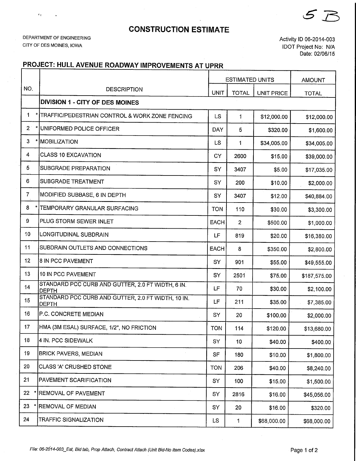## CONSTRUCTION ESTIMATE

DEPARTMENT OF ENGINEERING CITY OF DES MOINES, IOWA

 $\epsilon_+$ 

Activity ID 06-2014-003 IDOT Project No: N/A Date: 02/06/15

 $5B$ 

## PROJECT: HULL AVENUE ROADWAY IMPROVEMENTS AT UPRR

|                |                                                                    |             | <b>ESTIMATED UNITS</b> |                   | <b>AMOUNT</b> |  |
|----------------|--------------------------------------------------------------------|-------------|------------------------|-------------------|---------------|--|
| NO.            | <b>DESCRIPTION</b>                                                 | <b>UNIT</b> | <b>TOTAL</b>           | <b>UNIT PRICE</b> | <b>TOTAL</b>  |  |
|                | DIVISION 1 - CITY OF DES MOINES                                    |             |                        |                   |               |  |
| 1              | TRAFFIC/PEDESTRIAN CONTROL & WORK ZONE FENCING                     | LS          | 1                      | \$12,000.00       | \$12,000.00   |  |
| $2^{\circ}$    | UNIFORMED POLICE OFFICER                                           | <b>DAY</b>  | 5                      | \$320.00          | \$1,600.00    |  |
| 3              | MOBILIZATION                                                       | LS          | 1                      | \$34,005.00       | \$34,005.00   |  |
| $\overline{4}$ | <b>CLASS 10 EXCAVATION</b>                                         | <b>CY</b>   | 2600                   | \$15.00           | \$39,000.00   |  |
| 5              | SUBGRADE PREPARATION                                               | SY          | 3407                   | \$5.00            | \$17,035.00   |  |
| 6              | <b>SUBGRADE TREATMENT</b>                                          | SY          | 200                    | \$10.00           | \$2,000.00    |  |
| 7              | MODIFIED SUBBASE, 6 IN DEPTH                                       | SY          | 3407                   | \$12.00           | \$40,884.00   |  |
| 8              | TEMPORARY GRANULAR SURFACING                                       | <b>TON</b>  | 110                    | \$30.00           | \$3,300.00    |  |
| 9              | PLUG STORM SEWER INLET                                             | <b>EACH</b> | 2                      | \$500.00          | \$1,000.00    |  |
| 10             | LONGITUDINAL SUBDRAIN                                              | <b>LF</b>   | 819                    | \$20.00           | \$16,380.00   |  |
| 11             | SUBDRAIN OUTLETS AND CONNECTIONS                                   | <b>EACH</b> | 8                      | \$350.00          | \$2,800.00    |  |
| 12             | 8 IN PCC PAVEMENT                                                  | SY          | 901                    | \$55.00           | \$49,555.00   |  |
| 13             | 10 IN PCC PAVEMENT                                                 | SY          | 2501                   | \$75.00           | \$187,575.00  |  |
| 14             | STANDARD PCC CURB AND GUTTER, 2.0 FT WIDTH, 6 IN.<br><b>DEPTH</b>  | LF          | 70                     | \$30.00           | \$2,100.00    |  |
| 15             | STANDARD PCC CURB AND GUTTER, 2.0 FT WIDTH, 10 IN.<br><b>DEPTH</b> | LF          | 211                    | \$35.00           | \$7,385.00    |  |
| 16             | P.C. CONCRETE MEDIAN                                               | SY          | 20                     | \$100.00          | \$2,000.00    |  |
| 17             | HMA (3M ESAL) SURFACE, 1/2", NO FRICTION                           | <b>TON</b>  | 114                    | \$120.00          | \$13,680.00   |  |
| 18             | 4 IN. PCC SIDEWALK                                                 | SY          | 10                     | \$40.00           | \$400.00      |  |
| 19             | <b>BRICK PAVERS, MEDIAN</b>                                        | <b>SF</b>   | 180                    | \$10.00           | \$1,800.00    |  |
| 20             | <b>CLASS 'A' CRUSHED STONE</b>                                     | <b>TON</b>  | 206                    | \$40.00           | \$8,240.00    |  |
| 21             | PAVEMENT SCARIFICATION                                             | SY          | 100                    | \$15.00           | \$1,500.00    |  |
| 22             | <b>REMOVAL OF PAVEMENT</b>                                         | SY          | 2816                   | \$16.00           | \$45,056.00   |  |
| 23             | <b>REMOVAL OF MEDIAN</b>                                           | SY          | 20                     | \$16.00           | \$320,00      |  |
| 24             | <b>TRAFFIC SIGNALIZATION</b>                                       | <b>LS</b>   | 1                      | \$68,000.00       | \$68,000.00   |  |